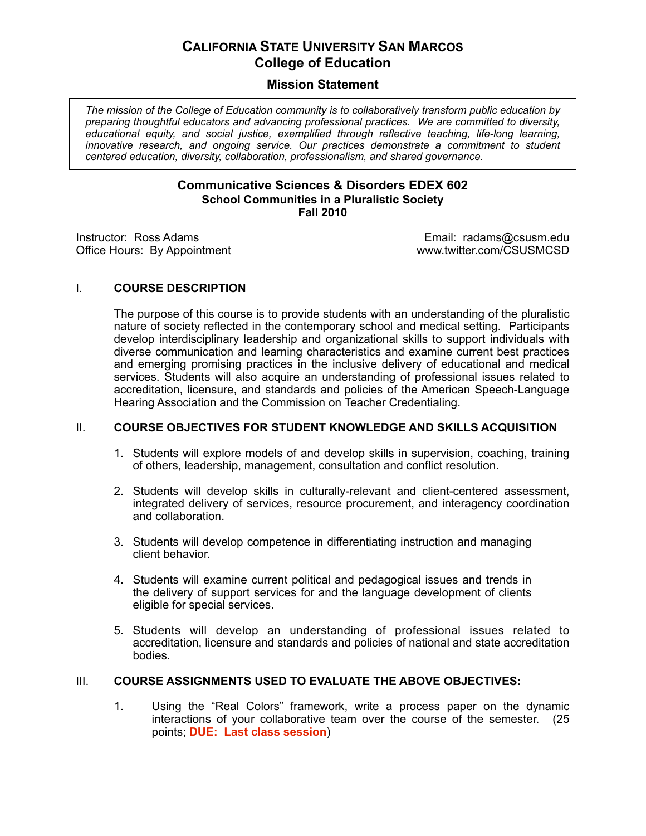## **CALIFORNIA STATE UNIVERSITY SAN MARCOS College of Education**

## **Mission Statement**

 *The mission of the College of Education community is to collaboratively transform public education by preparing thoughtful educators and advancing professional practices. We are committed to diversity, educational equity, and social justice, exemplified through reflective teaching, life-long learning,*  innovative research, and ongoing service. Our practices demonstrate a commitment to student  *centered education, diversity, collaboration, professionalism, and shared governance.* 

## **Communicative Sciences & Disorders EDEX 602 School Communities in a Pluralistic Society Fall 2010**

Instructor: Ross Adams

Office Hours: By Appointment www.twitter.com/CSUSMCSD Email: radams@csusm.edu<br>www.twitter.com/CSUSMCSD

## I. **COURSE DESCRIPTION**

 The purpose of this course is to provide students with an understanding of the pluralistic nature of society reflected in the contemporary school and medical setting. Participants develop interdisciplinary leadership and organizational skills to support individuals with diverse communication and learning characteristics and examine current best practices and emerging promising practices in the inclusive delivery of educational and medical services. Students will also acquire an understanding of professional issues related to accreditation, licensure, and standards and policies of the American Speech-Language Hearing Association and the Commission on Teacher Credentialing.

## **II. COURSE OBJECTIVES FOR STUDENT KNOWLEDGE AND SKILLS ACQUISITION**

- 1. Students will explore models of and develop skills in supervision, coaching, training of others, leadership, management, consultation and conflict resolution.
- 2. Students will develop skills in culturally-relevant and client-centered assessment, integrated delivery of services, resource procurement, and interagency coordination and collaboration.
- 3. Students will develop competence in differentiating instruction and managing client behavior.
- 4. Students will examine current political and pedagogical issues and trends in the delivery of support services for and the language development of clients eligible for special services.
- 5. Students will develop an understanding of professional issues related to accreditation, licensure and standards and policies of national and state accreditation bodies.

## III. COURSE ASSIGNMENTS USED TO EVALUATE THE ABOVE OBJECTIVES:

1. Using the "Real Colors" framework, write a process paper on the dynamic interactions of your collaborative team over the course of the semester. (25  points; **DUE: Last class session**)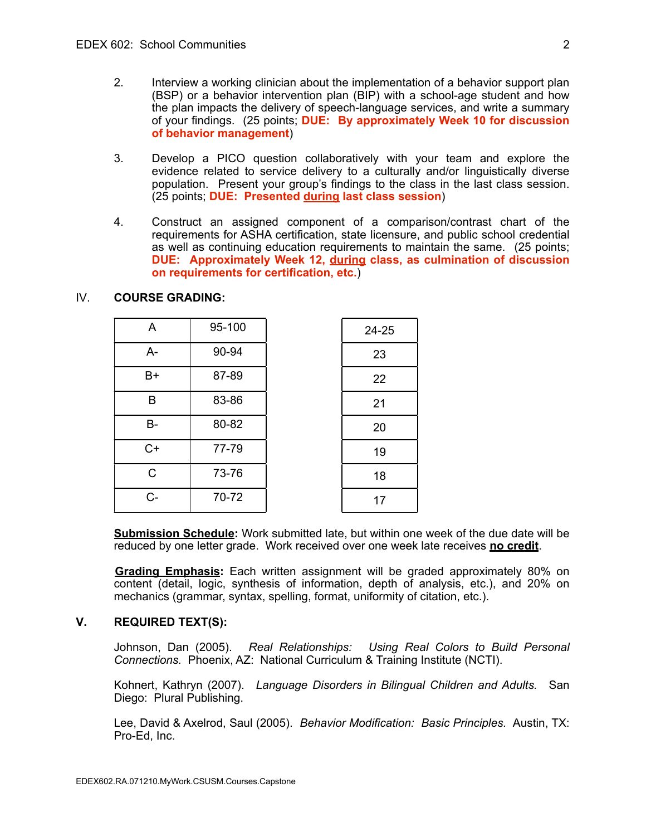- 2. Interview a working clinician about the implementation of a behavior support plan (BSP) or a behavior intervention plan (BIP) with a school-age student and how the plan impacts the delivery of speech-language services, and write a summary of your findings. (25 points; **DUE: By approximately Week 10 for discussion of behavior management**)
- 3. Develop a PICO question collaboratively with your team and explore the evidence related to service delivery to a culturally and/or linguistically diverse population. Present your group's findings to the class in the last class session. (25 points; **DUE: Presented during last class session**)
- 4. Construct an assigned component of a comparison/contrast chart of the requirements for ASHA certification, state licensure, and public school credential as well as continuing education requirements to maintain the same. (25 points;  **DUE: Approximately Week 12, during class, as culmination of discussion on requirements for certification, etc.**)

# IV. **COURSE GRADING:**

| A            | 95-100 | 24-25 |
|--------------|--------|-------|
| $A -$        | 90-94  | 23    |
| B+           | 87-89  | 22    |
| B            | 83-86  | 21    |
| <b>B-</b>    | 80-82  | 20    |
| $C+$         | 77-79  | 19    |
| $\mathsf{C}$ | 73-76  | 18    |
| C-           | 70-72  | 17    |

 **Submission Schedule:** Work submitted late, but within one week of the due date will be reduced by one letter grade. Work received over one week late receives **no credit**.

**Grading Emphasis:** Each written assignment will be graded approximately 80% on content (detail, logic, synthesis of information, depth of analysis, etc.), and 20% on mechanics (grammar, syntax, spelling, format, uniformity of citation, etc.).

## **V. REQUIRED TEXT(S):**

Johnson, Dan (2005).  *Connections.* Phoenix, AZ: National Curriculum & Training Institute (NCTI). Real Relationships: Using Real Colors to Build Personal

 Kohnert, Kathryn (2007). *Language Disorders in Bilingual Children and Adults.* San Diego: Plural Publishing.

 Lee, David & Axelrod, Saul (2005). *Behavior Modification: Basic Principles.* Austin, TX: Pro-Ed, Inc.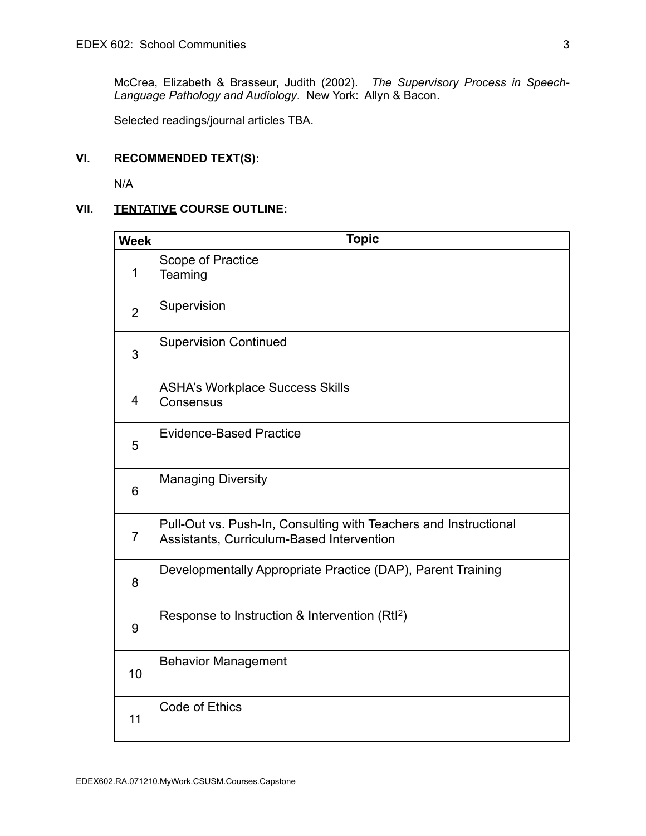McCrea, Elizabeth & Brasseur, Judith (2002). *The Supervisory Process in Speech-Language Pathology and Audiology*. New York: Allyn & Bacon.

Selected readings/journal articles TBA.

#### **VI. RECOMMENDED TEXT(S):**

N/A

## **VII. TENTATIVE COURSE OUTLINE:**

| <b>Week</b>    | <b>Topic</b>                                                                                                  |  |  |
|----------------|---------------------------------------------------------------------------------------------------------------|--|--|
| 1              | Scope of Practice<br>Teaming                                                                                  |  |  |
| $\overline{2}$ | Supervision                                                                                                   |  |  |
| 3              | <b>Supervision Continued</b>                                                                                  |  |  |
| $\overline{4}$ | <b>ASHA's Workplace Success Skills</b><br>Consensus                                                           |  |  |
| 5              | <b>Evidence-Based Practice</b>                                                                                |  |  |
| 6              | <b>Managing Diversity</b>                                                                                     |  |  |
| $\overline{7}$ | Pull-Out vs. Push-In, Consulting with Teachers and Instructional<br>Assistants, Curriculum-Based Intervention |  |  |
| 8              | Developmentally Appropriate Practice (DAP), Parent Training                                                   |  |  |
| 9              | Response to Instruction & Intervention (Rtl <sup>2</sup> )                                                    |  |  |
| 10             | <b>Behavior Management</b>                                                                                    |  |  |
| 11             | Code of Ethics                                                                                                |  |  |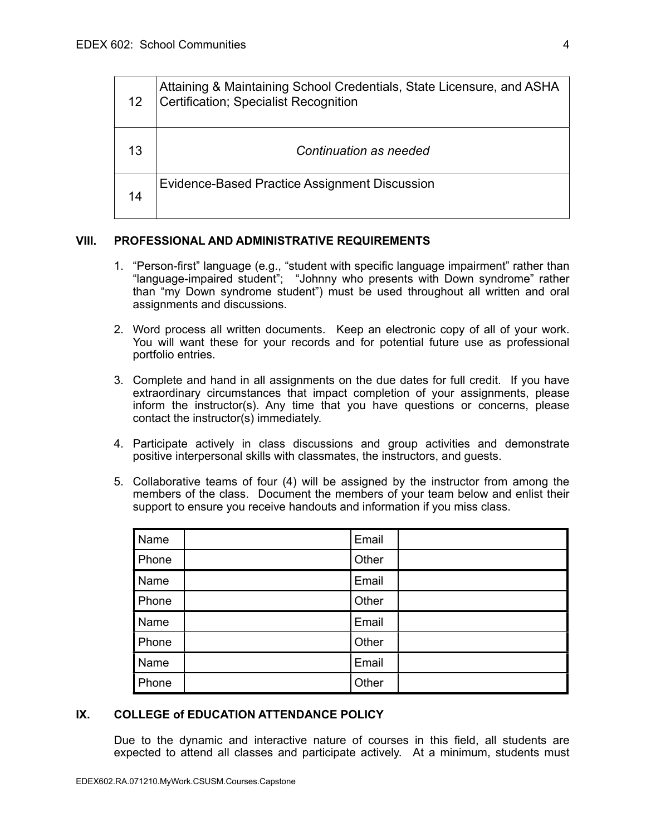| 12 | Attaining & Maintaining School Credentials, State Licensure, and ASHA<br>Certification; Specialist Recognition |
|----|----------------------------------------------------------------------------------------------------------------|
| 13 | Continuation as needed                                                                                         |
| 14 | Evidence-Based Practice Assignment Discussion                                                                  |

## **VIII. PROFESSIONAL AND ADMINISTRATIVE REQUIREMENTS**

- than "my Down syndrome student") must be used throughout all written and oral 1. "Person-first" language (e.g., "student with specific language impairment" rather than "language-impaired student"; "Johnny who presents with Down syndrome" rather assignments and discussions.
- 2. Word process all written documents. Keep an electronic copy of all of your work. You will want these for your records and for potential future use as professional portfolio entries.
- 3. Complete and hand in all assignments on the due dates for full credit. If you have extraordinary circumstances that impact completion of your assignments, please inform the instructor(s). Any time that you have questions or concerns, please contact the instructor(s) immediately.
- 4. Participate actively in class discussions and group activities and demonstrate positive interpersonal skills with classmates, the instructors, and guests.
- 5. Collaborative teams of four (4) will be assigned by the instructor from among the members of the class. Document the members of your team below and enlist their support to ensure you receive handouts and information if you miss class.

| Name  | Email |  |
|-------|-------|--|
| Phone | Other |  |
| Name  | Email |  |
| Phone | Other |  |
| Name  | Email |  |
| Phone | Other |  |
| Name  | Email |  |
| Phone | Other |  |

## **IX. COLLEGE of EDUCATION ATTENDANCE POLICY**

 Due to the dynamic and interactive nature of courses in this field, all students are expected to attend all classes and participate actively. At a minimum, students must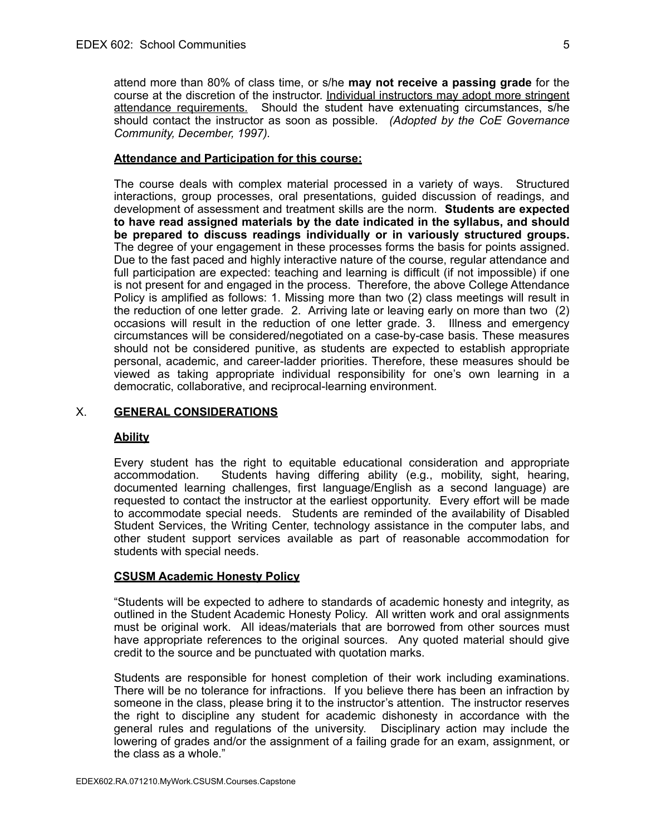attend more than 80% of class time, or s/he **may not receive a passing grade** for the course at the discretion of the instructor. Individual instructors may adopt more stringent attendance requirements. Should the student have extenuating circumstances, s/he should contact the instructor as soon as possible. *(Adopted by the CoE Governance Community, December, 1997).* 

#### **Attendance and Participation for this course:**

 The course deals with complex material processed in a variety of ways. Structured interactions, group processes, oral presentations, guided discussion of readings, and development of assessment and treatment skills are the norm. **Students are expected to have read assigned materials by the date indicated in the syllabus, and should be prepared to discuss readings individually or in variously structured groups.** The degree of your engagement in these processes forms the basis for points assigned. Due to the fast paced and highly interactive nature of the course, regular attendance and full participation are expected: teaching and learning is difficult (if not impossible) if one is not present for and engaged in the process. Therefore, the above College Attendance Policy is amplified as follows: 1. Missing more than two (2) class meetings will result in the reduction of one letter grade. 2. Arriving late or leaving early on more than two (2) occasions will result in the reduction of one letter grade. 3. Illness and emergency circumstances will be considered/negotiated on a case-by-case basis. These measures should not be considered punitive, as students are expected to establish appropriate personal, academic, and career-ladder priorities. Therefore, these measures should be viewed as taking appropriate individual responsibility for one's own learning in a democratic, collaborative, and reciprocal-learning environment.

#### X. **GENERAL CONSIDERATIONS**

#### **Ability**

 Every student has the right to equitable educational consideration and appropriate accommodation. documented learning challenges, first language/English as a second language) are requested to contact the instructor at the earliest opportunity. Every effort will be made to accommodate special needs. Students are reminded of the availability of Disabled Student Services, the Writing Center, technology assistance in the computer labs, and other student support services available as part of reasonable accommodation for students with special needs. Students having differing ability (e.g., mobility, sight, hearing,

### **CSUSM Academic Honesty Policy**

 "Students will be expected to adhere to standards of academic honesty and integrity, as outlined in the Student Academic Honesty Policy. All written work and oral assignments must be original work. All ideas/materials that are borrowed from other sources must have appropriate references to the original sources. Any quoted material should give credit to the source and be punctuated with quotation marks.

 Students are responsible for honest completion of their work including examinations. There will be no tolerance for infractions. If you believe there has been an infraction by someone in the class, please bring it to the instructor's attention. The instructor reserves the right to discipline any student for academic dishonesty in accordance with the general rules and regulations of the university. Disciplinary action may include the lowering of grades and/or the assignment of a failing grade for an exam, assignment, or the class as a whole."